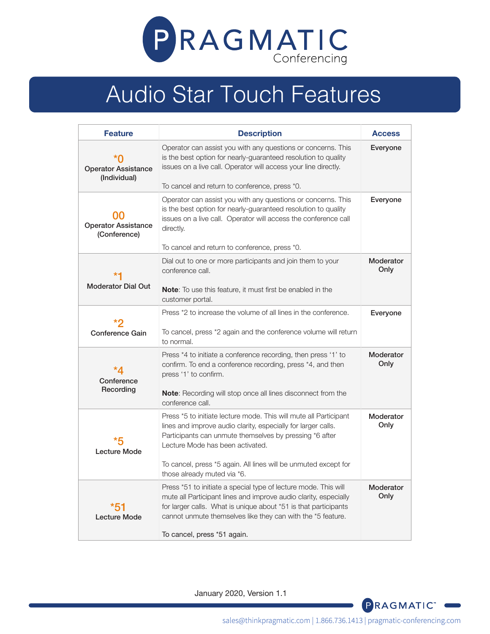

## Audio Star Touch Features

| <b>Feature</b>                             | <b>Description</b>                                                                                                                                                                                                                                                                                                                  | <b>Access</b>     |
|--------------------------------------------|-------------------------------------------------------------------------------------------------------------------------------------------------------------------------------------------------------------------------------------------------------------------------------------------------------------------------------------|-------------------|
| <b>Operator Assistance</b><br>(Individual) | Operator can assist you with any questions or concerns. This<br>is the best option for nearly-guaranteed resolution to quality<br>issues on a live call. Operator will access your line directly.<br>To cancel and return to conference, press *0.                                                                                  | Everyone          |
| <b>Operator Assistance</b><br>(Conference) | Operator can assist you with any questions or concerns. This<br>is the best option for nearly-guaranteed resolution to quality<br>issues on a live call. Operator will access the conference call<br>directly.<br>To cancel and return to conference, press *0.                                                                     | Everyone          |
| Moderator Dial Out                         | Dial out to one or more participants and join them to your<br>conference call.<br>Note: To use this feature, it must first be enabled in the<br>customer portal.                                                                                                                                                                    | Moderator<br>Only |
| <b>Conference Gain</b>                     | Press *2 to increase the volume of all lines in the conference.<br>To cancel, press *2 again and the conference volume will return<br>to normal.                                                                                                                                                                                    | Everyone          |
| Conference<br>Recording                    | Press *4 to initiate a conference recording, then press '1' to<br>confirm. To end a conference recording, press *4, and then<br>press '1' to confirm.<br><b>Note:</b> Recording will stop once all lines disconnect from the<br>conference call.                                                                                    | Moderator<br>Only |
| <b>Lecture Mode</b>                        | Press *5 to initiate lecture mode. This will mute all Participant<br>lines and improve audio clarity, especially for larger calls.<br>Participants can unmute themselves by pressing *6 after<br>Lecture Mode has been activated.<br>To cancel, press *5 again. All lines will be unmuted except for<br>those already muted via *6. | Moderator<br>Only |
| <b>Lecture Mode</b>                        | Press *51 to initiate a special type of lecture mode. This will<br>mute all Participant lines and improve audio clarity, especially<br>for larger calls. What is unique about *51 is that participants<br>cannot unmute themselves like they can with the *5 feature.<br>To cancel, press *51 again.                                | Moderator<br>Only |

January 2020, Version 1.1



sales@thinkpragmatic.com | 1.866.736.1413 | pragmatic-conferencing.com